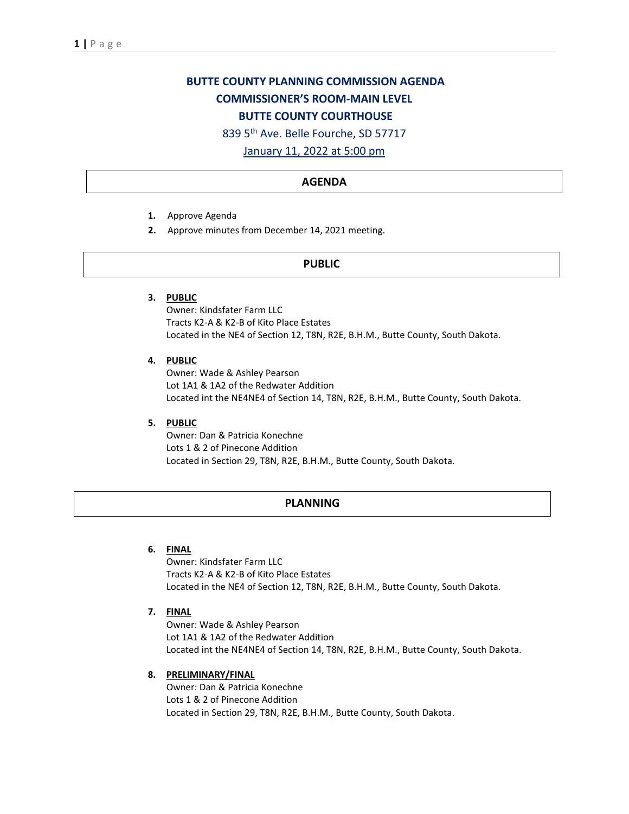# **BUTTE COUNTY PLANNING COMMISSION AGENDA COMMISSIONER'S ROOM-MAIN LEVEL BUTTE COUNTY COURTHOUSE**

839 5th Ave. Belle Fourche, SD 57717

January 11, 2022 at 5:00 pm

# **AGENDA**

- **1.** Approve Agenda
- **2.** Approve minutes from December 14, 2021 meeting.

# **PUBLIC**

**3. PUBLIC**

Owner: Kindsfater Farm LLC Tracts K2-A & K2-B of Kito Place Estates Located in the NE4 of Section 12, T8N, R2E, B.H.M., Butte County, South Dakota.

**4. PUBLIC**

Owner: Wade & Ashley Pearson Lot 1A1 & 1A2 of the Redwater Addition Located int the NE4NE4 of Section 14, T8N, R2E, B.H.M., Butte County, South Dakota.

**5. PUBLIC**

Owner: Dan & Patricia Konechne Lots 1 & 2 of Pinecone Addition Located in Section 29, T8N, R2E, B.H.M., Butte County, South Dakota.

# **PLANNING**

**6. FINAL**

Owner: Kindsfater Farm LLC Tracts K2-A & K2-B of Kito Place Estates Located in the NE4 of Section 12, T8N, R2E, B.H.M., Butte County, South Dakota.

**7. FINAL**

Owner: Wade & Ashley Pearson Lot 1A1 & 1A2 of the Redwater Addition Located int the NE4NE4 of Section 14, T8N, R2E, B.H.M., Butte County, South Dakota.

#### **8. PRELIMINARY/FINAL**

Owner: Dan & Patricia Konechne Lots 1 & 2 of Pinecone Addition Located in Section 29, T8N, R2E, B.H.M., Butte County, South Dakota.